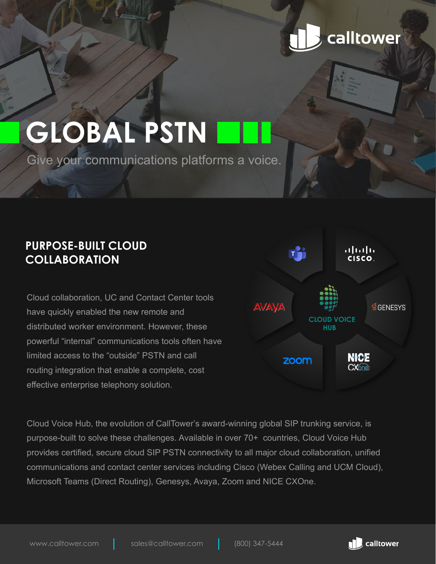## calltower

# **GLOBAL PSTN**

Give your communications platforms a voice.

## **PURPOSE-BUILT CLOUD COLLABORATION**

Cloud collaboration, UC and Contact Center tools have quickly enabled the new remote and distributed worker environment. However, these powerful "internal" communications tools often have limited access to the "outside" PSTN and call routing integration that enable a complete, cost effective enterprise telephony solution.



Cloud Voice Hub, the evolution of CallTower's award-winning global SIP trunking service, is purpose-built to solve these challenges. Available in over 70+ countries, Cloud Voice Hub provides certified, secure cloud SIP PSTN connectivity to all major cloud collaboration, unified communications and contact center services including Cisco (Webex Calling and UCM Cloud), Microsoft Teams (Direct Routing), Genesys, Avaya, Zoom and NICE CXOne.

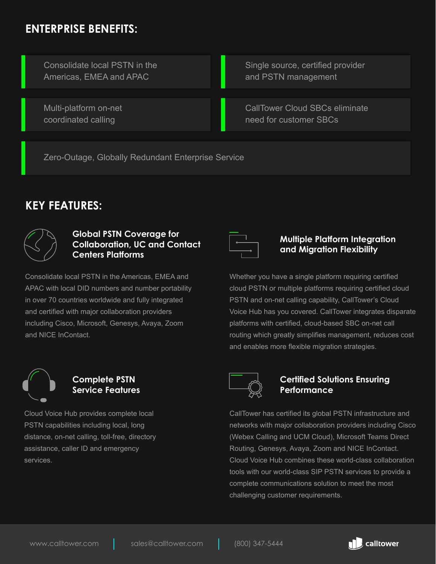## **ENTERPRISE BENEFITS:**

Multi-platform on-net coordinated calling

Consolidate local PSTN in the Americas, EMEA and APAC

Single source, certified provider and PSTN management

CallTower Cloud SBCs eliminate need for customer SBCs

Zero-Outage, Globally Redundant Enterprise Service

## **KEY FEATURES:**



#### **Global PSTN Coverage for Collaboration, UC and Contact Centers Platforms**

Consolidate local PSTN in the Americas, EMEA and APAC with local DID numbers and number portability in over 70 countries worldwide and fully integrated and certified with major collaboration providers including Cisco, Microsoft, Genesys, Avaya, Zoom and NICE InContact.



#### **Multiple Platform Integration and Migration Flexibility**

Whether you have a single platform requiring certified cloud PSTN or multiple platforms requiring certified cloud PSTN and on-net calling capability, CallTower's Cloud Voice Hub has you covered. CallTower integrates disparate platforms with certified, cloud-based SBC on-net call routing which greatly simplifies management, reduces cost and enables more flexible migration strategies.



#### **Complete PSTN Service Features**

Cloud Voice Hub provides complete local PSTN capabilities including local, long distance, on-net calling, toll-free, directory assistance, caller ID and emergency services.



#### **Certified Solutions Ensuring Performance**

CallTower has certified its global PSTN infrastructure and networks with major collaboration providers including Cisco (Webex Calling and UCM Cloud), Microsoft Teams Direct Routing, Genesys, Avaya, Zoom and NICE InContact. Cloud Voice Hub combines these world-class collaboration tools with our world-class SIP PSTN services to provide a complete communications solution to meet the most challenging customer requirements.

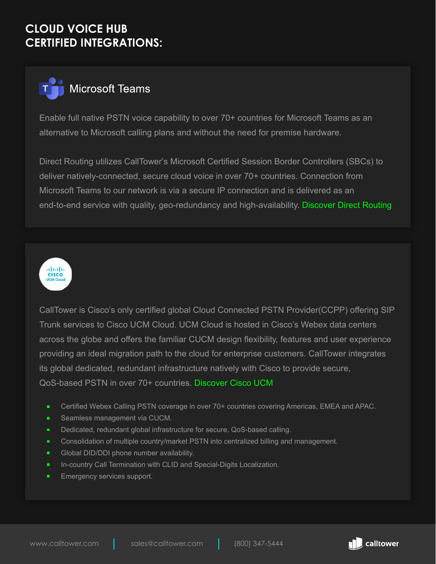## **CLOUD VOICE HUB CERTIFIED INTEGRATIONS:**



Enable full native PSTN voice capability to over 70+ countries for Microsoft Teams as an alternative to Microsoft calling plans and without the need for premise hardware.

Direct Routing utilizes CallTower's Microsoft Certified Session Border Controllers (SBCs) to deliver natively-connected, secure cloud voice in over 70+ countries. Connection from Microsoft Teams to our network is via a secure IP connection and is delivered as an end-to-end service with quality, geo-redundancy and high-availability. [Discover Direct Routing](https://www.calltower.com/microsoft-teams-direct-routing/)



CallTower is Cisco's only certified global Cloud Connected PSTN Provider(CCPP) offering SIP Trunk services to Cisco UCM Cloud. UCM Cloud is hosted in Cisco's Webex data centers across the globe and offers the familiar CUCM design flexibility, features and user experience providing an ideal migration path to the cloud for enterprise customers. CallTower integrates its global dedicated, redundant infrastructure natively with Cisco to provide secure, QoS-based PSTN in over 70+ countries. [Discover Cisco UCM](https://www.calltower.com/cisco-uc/)

- Certified Webex Calling PSTN coverage in over 70+ countries covering Americas, EMEA and APAC.  $\blacksquare$
- ×. Seamless management via CUCM.
- Dedicated, redundant global infrastructure for secure, QoS-based calling. п.
- Consolidation of multiple country/market PSTN into centralized billing and management. ٠
- ٠ Global DID/DDI phone number availability.
- ٠ In-country Call Termination with CLID and Special-Digits Localization.
- ٠ Emergency services support.